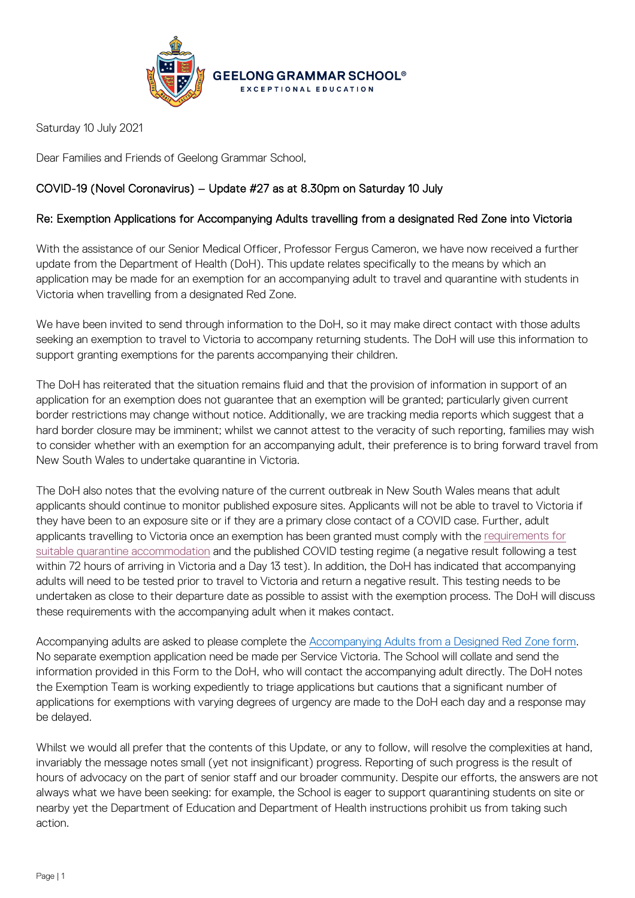

Saturday 10 July 2021

Dear Families and Friends of Geelong Grammar School,

## COVID-19 (Novel Coronavirus) – Update #27 as at 8.30pm on Saturday 10 July

## Re: Exemption Applications for Accompanying Adults travelling from a designated Red Zone into Victoria

With the assistance of our Senior Medical Officer, Professor Fergus Cameron, we have now received a further update from the Department of Health (DoH). This update relates specifically to the means by which an application may be made for an exemption for an accompanying adult to travel and quarantine with students in Victoria when travelling from a designated Red Zone.

We have been invited to send through information to the DoH, so it may make direct contact with those adults seeking an exemption to travel to Victoria to accompany returning students. The DoH will use this information to support granting exemptions for the parents accompanying their children.

The DoH has reiterated that the situation remains fluid and that the provision of information in support of an application for an exemption does not guarantee that an exemption will be granted; particularly given current border restrictions may change without notice. Additionally, we are tracking media reports which suggest that a hard border closure may be imminent; whilst we cannot attest to the veracity of such reporting, families may wish to consider whether with an exemption for an accompanying adult, their preference is to bring forward travel from New South Wales to undertake quarantine in Victoria.

The DoH also notes that the evolving nature of the current outbreak in New South Wales means that adult applicants should continue to monitor published exposure sites. Applicants will not be able to travel to Victoria if they have been to an exposure site or if they are a primary close contact of a COVID case. Further, adult applicants travelling to Victoria once an exemption has been granted must comply with the [requirements for](https://www.coronavirus.vic.gov.au/sites/default/files/2021-03/What-to-do-if-you-have-been-in-a-red-or-orange-zone-310321.docx#:%7E:text=at%20all%20times.-,Red%20zone,day%2013%20comes%20back%20negative.)  [suitable quarantine accommodation](https://www.coronavirus.vic.gov.au/sites/default/files/2021-03/What-to-do-if-you-have-been-in-a-red-or-orange-zone-310321.docx#:%7E:text=at%20all%20times.-,Red%20zone,day%2013%20comes%20back%20negative.) and the published COVID testing regime (a negative result following a test within 72 hours of arriving in Victoria and a Day 13 test). In addition, the DoH has indicated that accompanying adults will need to be tested prior to travel to Victoria and return a negative result. This testing needs to be undertaken as close to their departure date as possible to assist with the exemption process. The DoH will discuss these requirements with the accompanying adult when it makes contact.

Accompanying adults are asked to please complete the [Accompanying Adults from a Designed Red Zone form.](https://forms.office.com/Pages/ResponsePage.aspx?id=ELu_KfmYBkWxD1P2rSx8Ek8O6O0B8plCj9esXY9luYFURDNYNURQNzdJQk5JUTY0NkQ5V1Q5OE05Ti4u) No separate exemption application need be made per Service Victoria. The School will collate and send the information provided in this Form to the DoH, who will contact the accompanying adult directly. The DoH notes the Exemption Team is working expediently to triage applications but cautions that a significant number of applications for exemptions with varying degrees of urgency are made to the DoH each day and a response may be delayed.

Whilst we would all prefer that the contents of this Update, or any to follow, will resolve the complexities at hand, invariably the message notes small (yet not insignificant) progress. Reporting of such progress is the result of hours of advocacy on the part of senior staff and our broader community. Despite our efforts, the answers are not always what we have been seeking: for example, the School is eager to support quarantining students on site or nearby yet the Department of Education and Department of Health instructions prohibit us from taking such action.